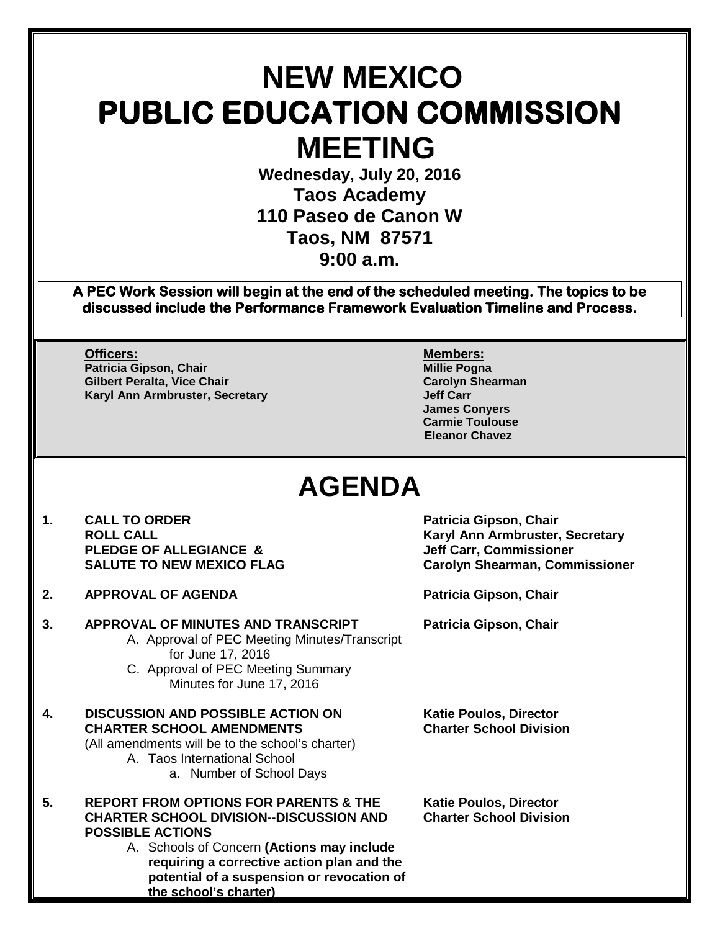# **NEW MEXICO PUBLIC EDUCATION COMMISSION MEETING**

**Wednesday, July 20, 2016 Taos Academy 110 Paseo de Canon W Taos, NM 87571 9:00 a.m.**

**A PEC Work Session will begin at the end of the scheduled meeting. The topics to be discussed include the Performance Framework Evaluation Timeline and Process.** 

**Officers: Members:** Patricia Gipson, Chair **Millie Pogna (International Patricia Gipson, Chair**<br>The Millie Pogna (International Politics of Patricia Science)<br>Carolyn Shearman **Gilbert Peralta, Vice Chair Carolyn Shearman Karyl Ann Armbruster, Secretary** 

**James Conyers Carmie Toulouse Eleanor Chavez**

## **AGENDA**

- **1. CALL TO ORDER Patricia Gipson, Chair PLEDGE OF ALLEGIANCE & SALUTE TO NEW MEXICO FLAG**
- **2. APPROVAL OF AGENDA Patricia Gipson, Chair**
- **3. APPROVAL OF MINUTES AND TRANSCRIPT Patricia Gipson, Chair**
	- A. Approval of PEC Meeting Minutes/Transcript for June 17, 2016
	- C. Approval of PEC Meeting Summary Minutes for June 17, 2016
- **4. DISCUSSION AND POSSIBLE ACTION ON Katie Poulos, Director CHARTER SCHOOL AMENDMENTS Charter School Division** (All amendments will be to the school's charter) A. Taos International School
	- a. Number of School Days
- **5. REPORT FROM OPTIONS FOR PARENTS & THE Katie Poulos, Director CHARTER SCHOOL DIVISION--DISCUSSION AND Charter School Division POSSIBLE ACTIONS**
	- A. Schools of Concern **(Actions may include requiring a corrective action plan and the potential of a suspension or revocation of the school's charter)**

**Karyl Ann Armbruster, Secretary<br>Jeff Carr, Commissioner Carolyn Shearman, Commissioner**